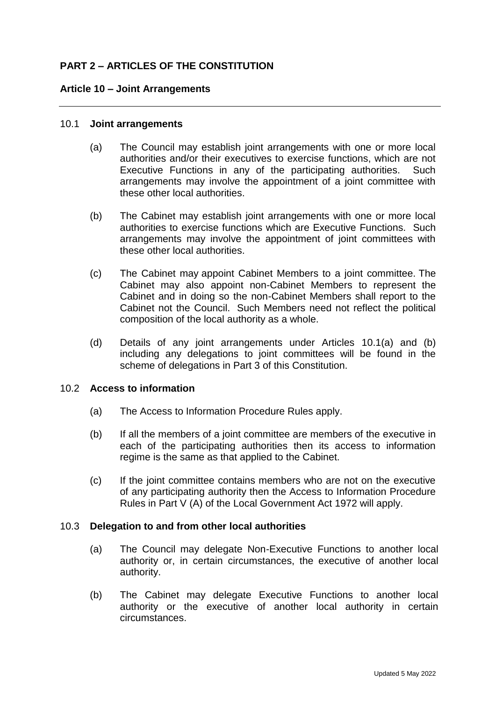# **PART 2 – ARTICLES OF THE CONSTITUTION**

### **Article 10 – Joint Arrangements**

#### 10.1 **Joint arrangements**

- (a) The Council may establish joint arrangements with one or more local authorities and/or their executives to exercise functions, which are not Executive Functions in any of the participating authorities. Such arrangements may involve the appointment of a joint committee with these other local authorities.
- (b) The Cabinet may establish joint arrangements with one or more local authorities to exercise functions which are Executive Functions. Such arrangements may involve the appointment of joint committees with these other local authorities.
- (c) The Cabinet may appoint Cabinet Members to a joint committee. The Cabinet may also appoint non-Cabinet Members to represent the Cabinet and in doing so the non-Cabinet Members shall report to the Cabinet not the Council. Such Members need not reflect the political composition of the local authority as a whole.
- (d) Details of any joint arrangements under Articles 10.1(a) and (b) including any delegations to joint committees will be found in the scheme of delegations in Part 3 of this Constitution.

#### 10.2 **Access to information**

- (a) The Access to Information Procedure Rules apply.
- (b) If all the members of a joint committee are members of the executive in each of the participating authorities then its access to information regime is the same as that applied to the Cabinet.
- (c) If the joint committee contains members who are not on the executive of any participating authority then the Access to Information Procedure Rules in Part V (A) of the Local Government Act 1972 will apply.

### 10.3 **Delegation to and from other local authorities**

- (a) The Council may delegate Non-Executive Functions to another local authority or, in certain circumstances, the executive of another local authority.
- (b) The Cabinet may delegate Executive Functions to another local authority or the executive of another local authority in certain circumstances.